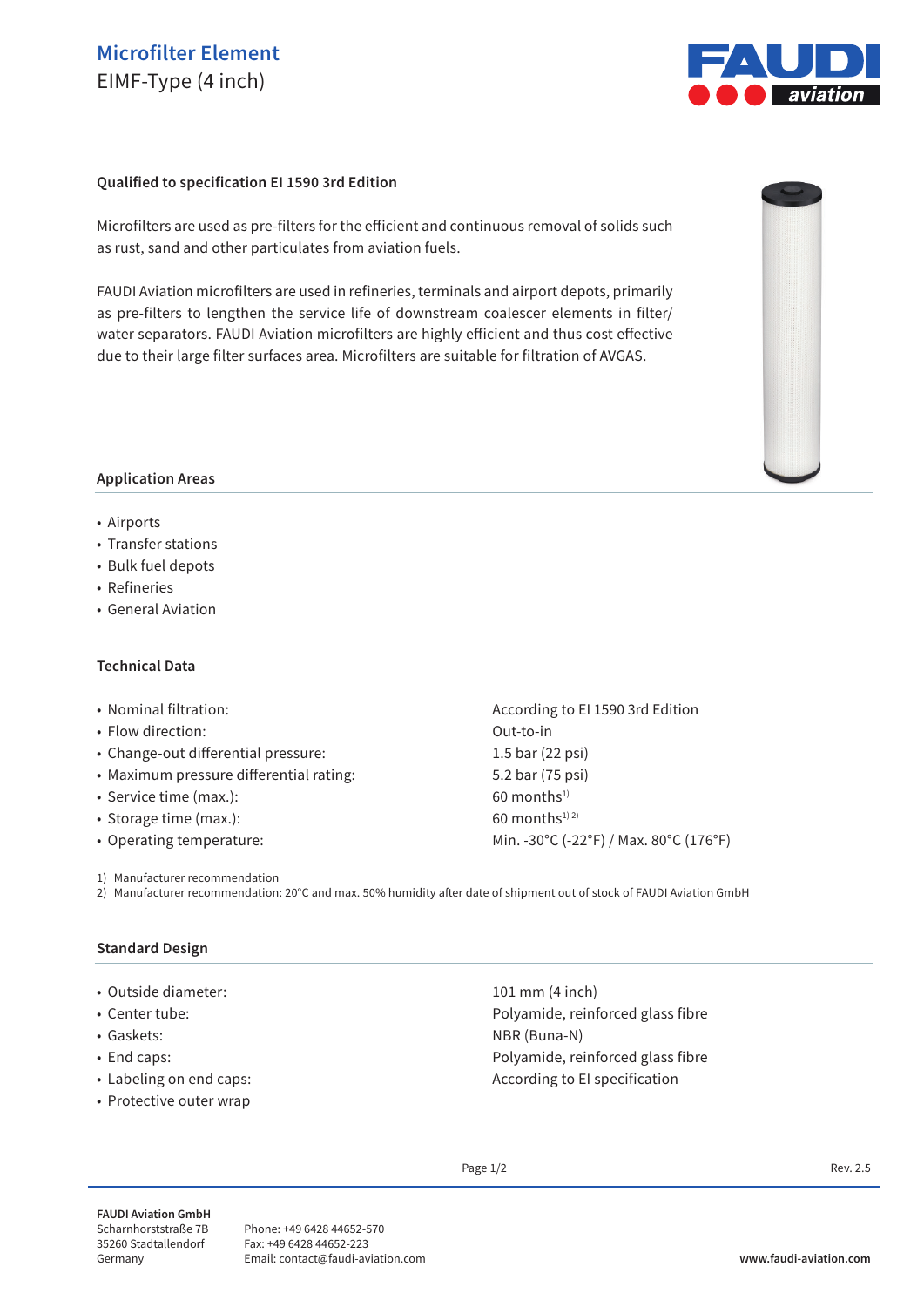## **Microfilter Element** EIMF-Type (4 inch)



#### **Qualified to specification EI 1590 3rd Edition**

Microfilters are used as pre-filters for the efficient and continuous removal of solids such as rust, sand and other particulates from aviation fuels.

FAUDI Aviation microfilters are used in refineries, terminals and airport depots, primarily as pre-filters to lengthen the service life of downstream coalescer elements in filter/ water separators. FAUDI Aviation microfilters are highly efficient and thus cost effective due to their large filter surfaces area. Microfilters are suitable for filtration of AVGAS.



#### **Application Areas**

- Airports
- Transfer stations
- Bulk fuel depots
- Refineries
- General Aviation

#### **Technical Data**

- 
- Flow direction: Out-to-in
- Change-out differential pressure: 1.5 bar (22 psi)
- Maximum pressure differential rating: 5.2 bar (75 psi)
- Service time  $(max.)$ : 60 months<sup>1)</sup>
- Storage time (max.):  $60$  months<sup>1) 2)</sup>
- 

1) Manufacturer recommendation

2) Manufacturer recommendation: 20°C and max. 50% humidity after date of shipment out of stock of FAUDI Aviation GmbH

#### **Standard Design**

- Outside diameter: 101 mm (4 inch)
- 
- 
- 
- 
- Protective outer wrap

• Nominal filtration:  $\blacksquare$  According to EI 1590 3rd Edition • Operating temperature: Min. -30°C (-22°F) / Max. 80°C (176°F)

• Center tube: Polyamide, reinforced glass fibre • Gaskets: NBR (Buna-N) • End caps: Polyamide, reinforced glass fibre • Labeling on end caps:  $\overline{a}$  and  $\overline{a}$  and  $\overline{a}$  are  $\overline{a}$  are  $\overline{a}$  are  $\overline{a}$  are  $\overline{a}$  are  $\overline{a}$  are  $\overline{a}$  are  $\overline{a}$  are  $\overline{a}$  are  $\overline{a}$  are  $\overline{a}$  are  $\overline{a}$  are  $\overline{a}$  are  $\over$ 

Page  $1/2$  Rev. 2.5

**FAUDI Aviation GmbH** Scharnhorststraße 7B 35260 Stadtallendorf Germany

Phone: +49 6428 44652-570 Fax: +49 6428 44652-223 Email: contact@faudi-aviation.com **www.faudi-aviation.com**